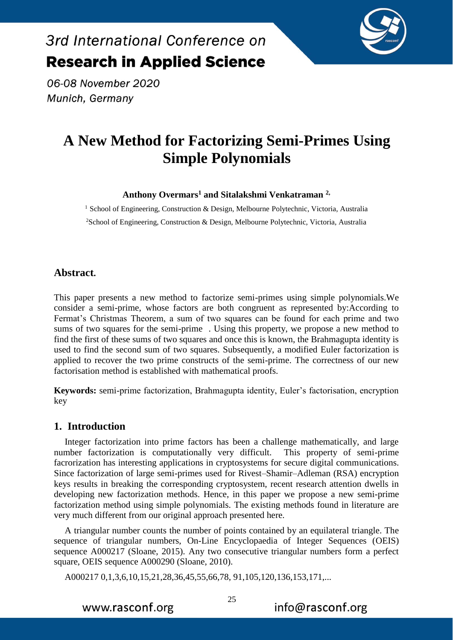

06-08 November 2020 Munich, Germany

## **A New Method for Factorizing Semi-Primes Using Simple Polynomials**

**Anthony Overmars<sup>1</sup> and Sitalakshmi Venkatraman 2,**

<sup>1</sup> School of Engineering, Construction & Design, Melbourne Polytechnic, Victoria, Australia <sup>2</sup>School of Engineering, Construction & Design, Melbourne Polytechnic, Victoria, Australia

## **Abstract.**

This paper presents a new method to factorize semi-primes using simple polynomials.We consider a semi-prime, whose factors are both congruent as represented by:According to Fermat's Christmas Theorem, a sum of two squares can be found for each prime and two sums of two squares for the semi-prime . Using this property, we propose a new method to find the first of these sums of two squares and once this is known, the Brahmagupta identity is used to find the second sum of two squares. Subsequently, a modified Euler factorization is applied to recover the two prime constructs of the semi-prime. The correctness of our new factorisation method is established with mathematical proofs.

**Keywords:** semi-prime factorization, Brahmagupta identity, Euler's factorisation, encryption key

### **1. Introduction**

Integer factorization into prime factors has been a challenge mathematically, and large number factorization is computationally very difficult. This property of semi-prime facrorization has interesting applications in cryptosystems for secure digital communications. Since factorization of large semi-primes used for Rivest–Shamir–Adleman (RSA) encryption keys results in breaking the corresponding cryptosystem, recent research attention dwells in developing new factorization methods. Hence, in this paper we propose a new semi-prime factorization method using simple polynomials. The existing methods found in literature are very much different from our original approach presented here.

A triangular number counts the number of points contained by an equilateral triangle. The sequence of triangular numbers, On-Line Encyclopaedia of Integer Sequences (OEIS) sequence A000217 (Sloane, 2015). Any two consecutive triangular numbers form a perfect square, OEIS sequence A000290 (Sloane, 2010).

A000217 0,1,3,6,10,15,21,28,36,45,55,66,78, 91,105,120,136,153,171,...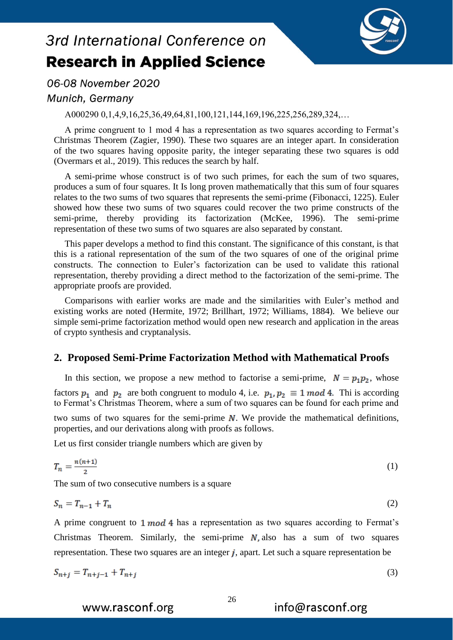

06-08 November 2020

## Munich, Germany

A000290 0,1,4,9,16,25,36,49,64,81,100,121,144,169,196,225,256,289,324,…

A prime congruent to 1 mod 4 has a representation as two squares according to Fermat's Christmas Theorem (Zagier, 1990). These two squares are an integer apart. In consideration of the two squares having opposite parity, the integer separating these two squares is odd (Overmars et al., 2019). This reduces the search by half.

A semi-prime whose construct is of two such primes, for each the sum of two squares, produces a sum of four squares. It Is long proven mathematically that this sum of four squares relates to the two sums of two squares that represents the semi-prime (Fibonacci, 1225). Euler showed how these two sums of two squares could recover the two prime constructs of the semi-prime, thereby providing its factorization (McKee, 1996). The semi-prime representation of these two sums of two squares are also separated by constant.

This paper develops a method to find this constant. The significance of this constant, is that this is a rational representation of the sum of the two squares of one of the original prime constructs. The connection to Euler's factorization can be used to validate this rational representation, thereby providing a direct method to the factorization of the semi-prime. The appropriate proofs are provided.

Comparisons with earlier works are made and the similarities with Euler's method and existing works are noted (Hermite, 1972; Brillhart, 1972; Williams, 1884). We believe our simple semi-prime factorization method would open new research and application in the areas of crypto synthesis and cryptanalysis.

## **2. Proposed Semi-Prime Factorization Method with Mathematical Proofs**

In this section, we propose a new method to factorise a semi-prime,  $N = p_1 p_2$ , whose factors  $p_1$  and  $p_2$  are both congruent to modulo 4, i.e.  $p_1, p_2 \equiv 1 \mod 4$ . Thi is according to Fermat's Christmas Theorem, where a sum of two squares can be found for each prime and two sums of two squares for the semi-prime  $N$ . We provide the mathematical definitions, properties, and our derivations along with proofs as follows.

Let us first consider triangle numbers which are given by

$$
T_n = \frac{n(n+1)}{2} \tag{1}
$$

The sum of two consecutive numbers is a square

$$
S_n = T_{n-1} + T_n \tag{2}
$$

A prime congruent to  $1 \mod 4$  has a representation as two squares according to Fermat's Christmas Theorem. Similarly, the semi-prime  $N$ , also has a sum of two squares representation. These two squares are an integer  $j$ , apart. Let such a square representation be

$$
S_{n+j} = T_{n+j-1} + T_{n+j} \tag{3}
$$

info@rasconf.org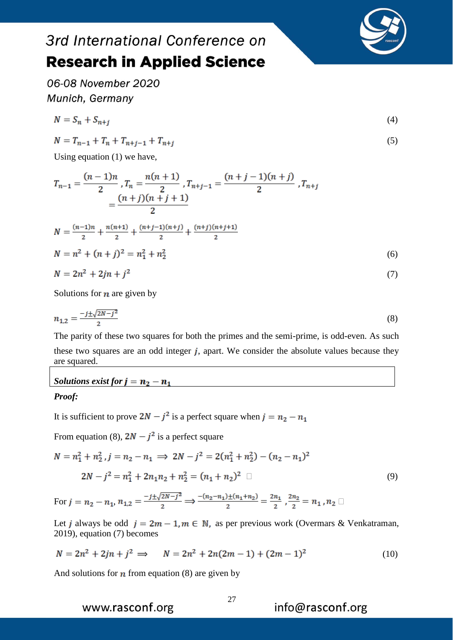

06-08 November 2020 Munich, Germany

$$
N = S_n + S_{n+j} \tag{4}
$$

$$
N = T_{n-1} + T_n + T_{n+j-1} + T_{n+j}
$$
\n<sup>(5)</sup>

Using equation (1) we have,

$$
T_{n-1} = \frac{(n-1)n}{2}, T_n = \frac{n(n+1)}{2}, T_{n+j-1} = \frac{(n+j-1)(n+j)}{2}, T_{n+j}
$$
  

$$
= \frac{(n+j)(n+j+1)}{2}
$$
  

$$
N = \frac{(n-1)n}{2} + \frac{n(n+1)}{2} + \frac{(n+j-1)(n+j)}{2} + \frac{(n+j)(n+j+1)}{2}
$$
  

$$
N = n^2 + (n+j)^2 = n_1^2 + n_2^2
$$
  

$$
N = 2n^2 + 2jn + j^2
$$
 (7)

Solutions for  $n$  are given by

$$
n_{1,2} = \frac{-j \pm \sqrt{2N - j^2}}{2} \tag{8}
$$

The parity of these two squares for both the primes and the semi-prime, is odd-even. As such these two squares are an odd integer  $j$ , apart. We consider the absolute values because they are squared.

#### *Solutions exist for*  $j = n_2 - n_1$

#### *Proof:*

It is sufficient to prove  $2N - j^2$  is a perfect square when  $j = n_2 - n_1$ 

From equation (8),  $2N - i^2$  is a perfect square

$$
N = n_1^2 + n_2^2, j = n_2 - n_1 \implies 2N - j^2 = 2(n_1^2 + n_2^2) - (n_2 - n_1)^2
$$
  

$$
2N - j^2 = n_1^2 + 2n_1n_2 + n_2^2 = (n_1 + n_2)^2 \square
$$
 (9)

For  $j = n_2 - n_1$ ,  $n_{1,2} = \frac{-j \pm \sqrt{2N - j^2}}{2}$   $\Rightarrow \frac{-(n_2 - n_1) \pm (n_1 + n_2)}{2} = \frac{2n_1}{2}$ ,  $\frac{2n_2}{2} = n_1$ ,  $n_2 \Box$ 

Let *j* always be odd  $j = 2m - 1, m \in \mathbb{N}$ , as per previous work (Overmars & Venkatraman, 2019), equation (7) becomes

$$
N = 2n^2 + 2jn + j^2 \implies N = 2n^2 + 2n(2m - 1) + (2m - 1)^2 \tag{10}
$$

And solutions for  $n$  from equation (8) are given by

www.rasconf.org

info@rasconf.org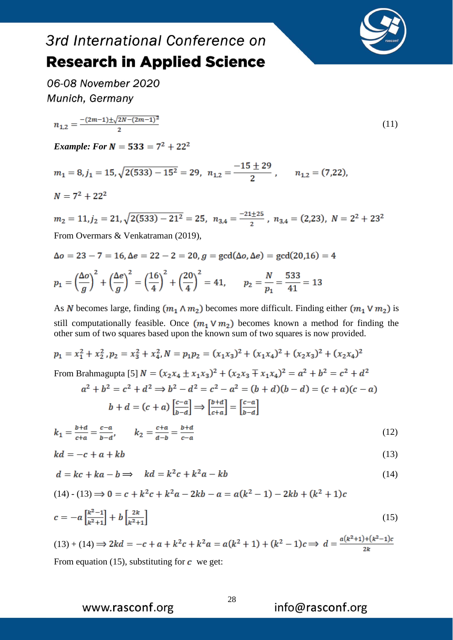



(11)

06-08 November 2020 Munich, Germany

$$
n_{1,2} = \frac{-(2m-1)\pm\sqrt{2N-(2m-1)^2}}{2}
$$

*Example: For N* = 533 =  $7^2 + 22^2$ 

 $m_1 = 8, j_1 = 15, \sqrt{2(533) - 15^2} = 29, n_{1,2} = \frac{-15 \pm 29}{2}, n_{1,2} = (7,22),$  $N = 7^2 + 22^2$ 

 $m_2 = 11, j_2 = 21, \sqrt{2(533) - 21^2} = 25, n_{3,4} = \frac{-21 \pm 25}{2}, n_{3,4} = (2,23), N = 2^2 + 23^2$ From Overmars & Venkatraman (2019),

 $\Delta o = 23 - 7 = 16$ ,  $\Delta e = 22 - 2 = 20$ ,  $g = \gcd(\Delta o, \Delta e) = \gcd(20, 16) = 4$  $p_1 = \left(\frac{\Delta o}{q}\right)^2 + \left(\frac{\Delta e}{q}\right)^2 = \left(\frac{16}{4}\right)^2 + \left(\frac{20}{4}\right)^2 = 41, \qquad p_2 = \frac{N}{p_1} = \frac{533}{41} = 13$ 

As N becomes large, finding  $(m_1 \wedge m_2)$  becomes more difficult. Finding either  $(m_1 \vee m_2)$  is still computationally feasible. Once  $(m_1 \vee m_2)$  becomes known a method for finding the

other sum of two squares based upon the known sum of two squares is now provided.

$$
p_1 = x_1^2 + x_2^2, p_2 = x_3^2 + x_4^2, N = p_1 p_2 = (x_1 x_3)^2 + (x_1 x_4)^2 + (x_2 x_3)^2 + (x_2 x_4)^2
$$
  
From Brahmagupta [5]  $N = (x_2 x_4 \pm x_1 x_3)^2 + (x_2 x_3 \mp x_1 x_4)^2 = a^2 + b^2 = c^2 + d^2$   
 $a^2 + b^2 = c^2 + d^2 \Rightarrow b^2 - d^2 = c^2 - a^2 = (b + d)(b - d) = (c + a)(c - a)$   
 $b + d = (c + a) \left[\frac{c - a}{b - d}\right] \Rightarrow \left[\frac{b + d}{c + a}\right] = \left[\frac{c - a}{b - d}\right]$ 

$$
k_1 = \frac{b+d}{c+a} = \frac{c-a}{b-d}, \qquad k_2 = \frac{c+a}{d-b} = \frac{b+d}{c-a} \tag{12}
$$

$$
kd = -c + a + kb \tag{13}
$$

$$
d = kc + ka - b \Longrightarrow \quad kd = k^2c + k^2a - kb \tag{14}
$$

$$
(14) \cdot (13) \Longrightarrow 0 = c + k^2 c + k^2 a - 2kb - a = a(k^2 - 1) - 2kb + (k^2 + 1)c
$$

$$
c = -a \left[ \frac{k^2 - 1}{k^2 + 1} \right] + b \left[ \frac{2k}{k^2 + 1} \right] \tag{15}
$$

 $(13) + (14) \Rightarrow 2kd = -c + a + k^2c + k^2a = a(k^2 + 1) + (k^2 - 1)c \Rightarrow d = \frac{a(k^2 + 1) + (k^2 - 1)c}{2k}$ From equation (15), substituting for  $\boldsymbol{c}$  we get:

www.rasconf.org

28

info@rasconf.org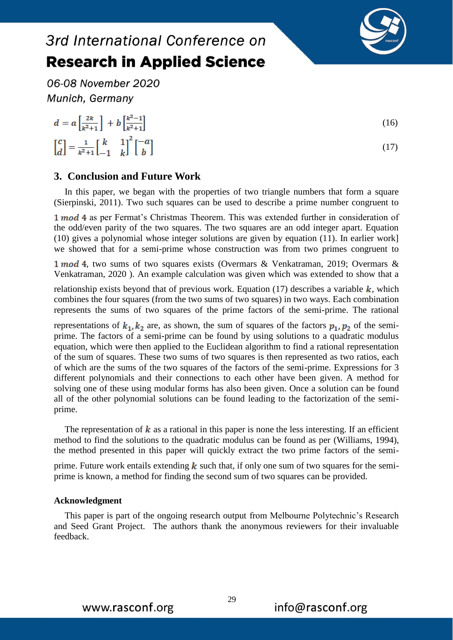

06-08 November 2020

In this paper, we began with the properties of two triangle numbers that form a square (Sierpinski, 2011). Two such squares can be used to describe a prime number congruent to

1 mod 4 as per Fermat's Christmas Theorem. This was extended further in consideration of the odd/even parity of the two squares. The two squares are an odd integer apart. Equation (10) gives a polynomial whose integer solutions are given by equation (11). In earlier work] we showed that for a semi-prime whose construction was from two primes congruent to

1 mod 4, two sums of two squares exists (Overmars & Venkatraman, 2019; Overmars & Venkatraman, 2020 ). An example calculation was given which was extended to show that a

relationship exists beyond that of previous work. Equation (17) describes a variable  $k$ , which combines the four squares (from the two sums of two squares) in two ways. Each combination represents the sums of two squares of the prime factors of the semi-prime. The rational

representations of  $k_1, k_2$  are, as shown, the sum of squares of the factors  $p_1, p_2$  of the semiprime. The factors of a semi-prime can be found by using solutions to a quadratic modulus equation, which were then applied to the Euclidean algorithm to find a rational representation of the sum of squares. These two sums of two squares is then represented as two ratios, each of which are the sums of the two squares of the factors of the semi-prime. Expressions for 3 different polynomials and their connections to each other have been given. A method for solving one of these using modular forms has also been given. Once a solution can be found all of the other polynomial solutions can be found leading to the factorization of the semiprime.

The representation of  $k$  as a rational in this paper is none the less interesting. If an efficient method to find the solutions to the quadratic modulus can be found as per (Williams, 1994), the method presented in this paper will quickly extract the two prime factors of the semi-

prime. Future work entails extending  $k$  such that, if only one sum of two squares for the semiprime is known, a method for finding the second sum of two squares can be provided.

#### **Acknowledgment**

This paper is part of the ongoing research output from Melbourne Polytechnic's Research and Seed Grant Project. The authors thank the anonymous reviewers for their invaluable feedback.



29

Munich, Germany  $d = a\left[\frac{2k}{\nu^2+1}\right] + b\left[\frac{k^2-1}{\nu^2+1}\right]$ (16)  $\left[ \begin{matrix} c \\ d \end{matrix} \right] = \frac{1}{\kappa^2+1} \left[ \begin{matrix} k & 1 \\ -1 & k \end{matrix} \right]^2 \left[ \begin{matrix} -a \\ b \end{matrix} \right]$ (17)

3rd International Conference on **Research in Applied Science**